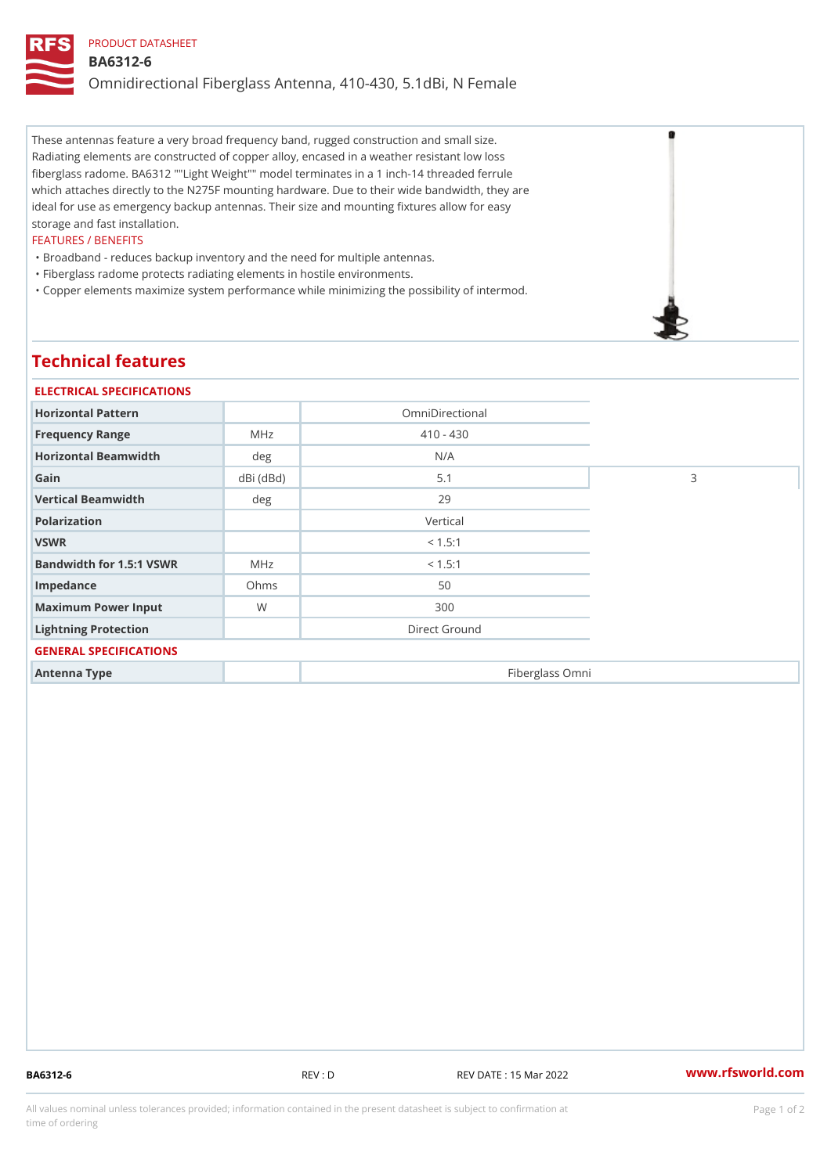## PRODUCT DATASHEET BA6312-6 Omnidirectional Fiberglass Antenna, 410-430, 5.1dBi, N Female

These antennas feature a very broad frequency band, rugged construction and small size. Radiating elements are constructed of copper alloy, encased in a weather resistant low loss fiberglass radome. BA6312 ""Light Weight"" model terminates in a 1 inch-14 threaded ferrule which attaches directly to the N275F mounting hardware. Due to their wide bandwidth, they are ideal for use as emergency backup antennas. Their size and mounting fixtures allow for easy storage and fast installation.

#### FEATURES / BENEFITS

"Broadband - reduces backup inventory and the need for multiple antennas.

"Fiberglass radome protects radiating elements in hostile environments.

"Copper elements maximize system performance while minimizing the possibility of intermod.

# Technical features

| ELECTRICAL SPECIFICATIONS    |               |                 |   |  |
|------------------------------|---------------|-----------------|---|--|
| Horizontal Pattern           |               | OmniDirectional |   |  |
| Frequency Range              | M H z         | $410 - 430$     |   |  |
| Horizontal Beamwidth         | deg           | N/A             |   |  |
| Gain                         | $dBi$ $(dBd)$ | 5.1             | 3 |  |
| Vertical Beamwidth           | deg           | 29              |   |  |
| Polarization                 |               | Vertical        |   |  |
| VSWR                         |               | < 1.5:1         |   |  |
| Bandwidth for 1.5:1 VSWR MHz |               | < 1.5:1         |   |  |
| Impedance                    | Ohms          | 50              |   |  |
| Maximum Power Input          | W             | 300             |   |  |
| Lightning Protection         |               | Direct Ground   |   |  |
| GENERAL SPECIFICATIONS       |               |                 |   |  |
| Antenna Type                 |               | Fiberglass Omni |   |  |

BA6312-6 REV : D REV DATE : 15 Mar 2022 WWW.rfsworld.com